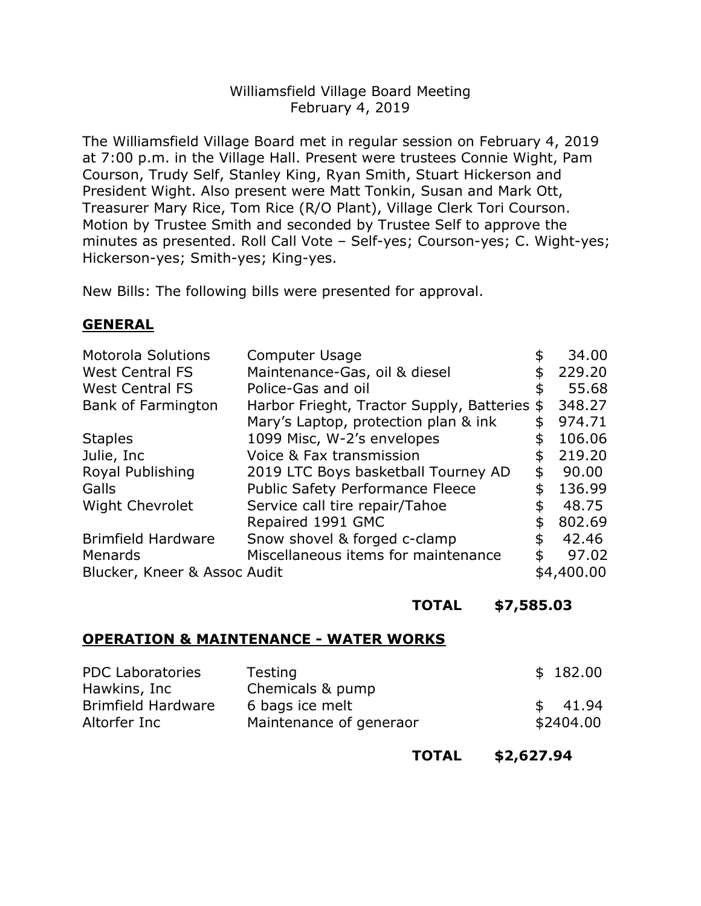## Williamsfield Village Board Meeting February 4, 2019

 The Williamsfield Village Board met in regular session on February 4, 2019 at 7:00 p.m. in the Village Hall. Present were trustees Connie Wight, Pam Courson, Trudy Self, Stanley King, Ryan Smith, Stuart Hickerson and President Wight. Also present were Matt Tonkin, Susan and Mark Ott, Treasurer Mary Rice, Tom Rice (R/O Plant), Village Clerk Tori Courson. Motion by Trustee Smith and seconded by Trustee Self to approve the minutes as presented. Roll Call Vote – Self-yes; Courson-yes; C. Wight-yes; Hickerson-yes; Smith-yes; King-yes.

New Bills: The following bills were presented for approval.

## GENERAL

| <b>Motorola Solutions</b>    | Computer Usage                            | 34.00        |
|------------------------------|-------------------------------------------|--------------|
| <b>West Central FS</b>       | Maintenance-Gas, oil & diesel             | 229.20       |
| <b>West Central FS</b>       | Police-Gas and oil                        | \$<br>55.68  |
| Bank of Farmington           | Harbor Frieght, Tractor Supply, Batteries | \$<br>348.27 |
|                              | Mary's Laptop, protection plan & ink      | 974.71       |
| <b>Staples</b>               | 1099 Misc, W-2's envelopes                | 106.06       |
| Julie, Inc.                  | Voice & Fax transmission                  | \$<br>219.20 |
| Royal Publishing             | 2019 LTC Boys basketball Tourney AD       | \$<br>90.00  |
| Galls                        | <b>Public Safety Performance Fleece</b>   | 136.99       |
| <b>Wight Chevrolet</b>       | Service call tire repair/Tahoe            | \$<br>48.75  |
|                              | Repaired 1991 GMC                         | \$<br>802.69 |
| <b>Brimfield Hardware</b>    | Snow shovel & forged c-clamp              | 42.46        |
| <b>Menards</b>               | Miscellaneous items for maintenance       | \$<br>97.02  |
| Blucker, Kneer & Assoc Audit |                                           | \$4,400.00   |

## TOTAL \$[7,585.03](https://7,585.03)

## OPERATION & MAINTENANCE - WATER WORKS

| <b>PDC Laboratories</b><br>Hawkins, Inc | Testing<br>Chemicals & pump | \$182.00  |
|-----------------------------------------|-----------------------------|-----------|
| <b>Brimfield Hardware</b>               | 6 bags ice melt             | \$41.94   |
| Altorfer Inc                            | Maintenance of generaor     | \$2404.00 |

TOTAL \$[2,627.94](https://2,627.94)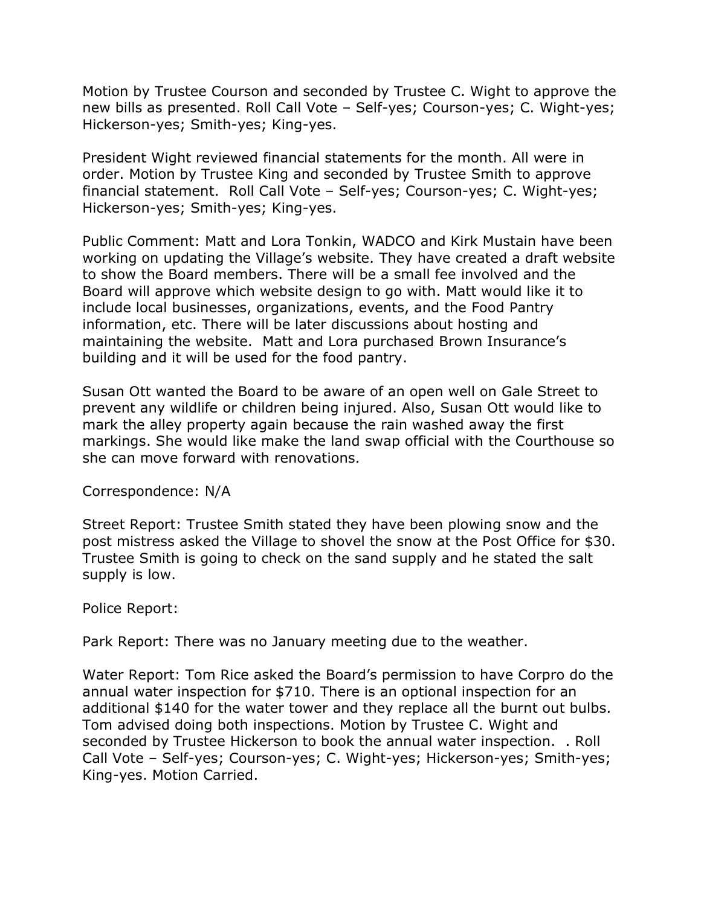Motion by Trustee Courson and seconded by Trustee C. Wight to approve the new bills as presented. Roll Call Vote – Self-yes; Courson-yes; C. Wight-yes; Hickerson-yes; Smith-yes; King-yes.

 President Wight reviewed financial statements for the month. All were in order. Motion by Trustee King and seconded by Trustee Smith to approve financial statement. Roll Call Vote – Self-yes; Courson-yes; C. Wight-yes; Hickerson-yes; Smith-yes; King-yes.

 Public Comment: Matt and Lora Tonkin, WADCO and Kirk Mustain have been working on updating the Village's website. They have created a draft website to show the Board members. There will be a small fee involved and the Board will approve which website design to go with. Matt would like it to include local businesses, organizations, events, and the Food Pantry information, etc. There will be later discussions about hosting and maintaining the website. Matt and Lora purchased Brown Insurance's building and it will be used for the food pantry.

 Susan Ott wanted the Board to be aware of an open well on Gale Street to prevent any wildlife or children being injured. Also, Susan Ott would like to mark the alley property again because the rain washed away the first markings. She would like make the land swap official with the Courthouse so she can move forward with renovations.

Correspondence: N/A

 Street Report: Trustee Smith stated they have been plowing snow and the post mistress asked the Village to shovel the snow at the Post Office for \$30. Trustee Smith is going to check on the sand supply and he stated the salt supply is low.

Police Report:

Park Report: There was no January meeting due to the weather.

 Water Report: Tom Rice asked the Board's permission to have Corpro do the annual water inspection for \$710. There is an optional inspection for an additional \$140 for the water tower and they replace all the burnt out bulbs. Tom advised doing both inspections. Motion by Trustee C. Wight and seconded by Trustee Hickerson to book the annual water inspection. . Roll Call Vote – Self-yes; Courson-yes; C. Wight-yes; Hickerson-yes; Smith-yes; King-yes. Motion Carried.